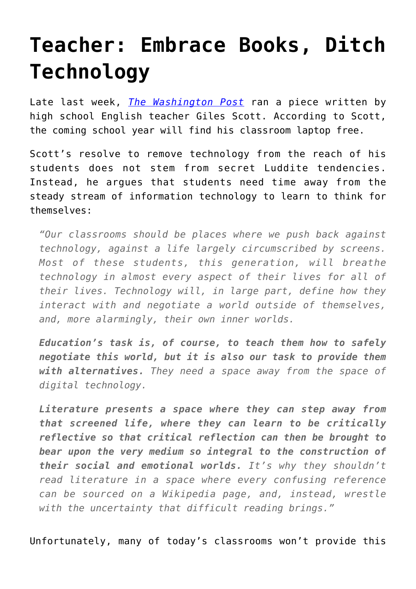## **[Teacher: Embrace Books, Ditch](https://intellectualtakeout.org/2016/08/teacher-embrace-books-ditch-technology/) [Technology](https://intellectualtakeout.org/2016/08/teacher-embrace-books-ditch-technology/)**

Late last week, *[The Washington Post](https://www.washingtonpost.com/news/answer-sheet/wp/2016/08/05/high-school-teacher-im-banning-laptops-in-class-and-not-just-because-they-are-distracting/)* ran a piece written by high school English teacher Giles Scott. According to Scott, the coming school year will find his classroom laptop free.

Scott's resolve to remove technology from the reach of his students does not stem from secret Luddite tendencies. Instead, he argues that students need time away from the steady stream of information technology to learn to think for themselves:

*"Our classrooms should be places where we push back against technology, against a life largely circumscribed by screens. Most of these students, this generation, will breathe technology in almost every aspect of their lives for all of their lives. Technology will, in large part, define how they interact with and negotiate a world outside of themselves, and, more alarmingly, their own inner worlds.*

*Education's task is, of course, to teach them how to safely negotiate this world, but it is also our task to provide them with alternatives. They need a space away from the space of digital technology.*

*Literature presents a space where they can step away from that screened life, where they can learn to be critically reflective so that critical reflection can then be brought to bear upon the very medium so integral to the construction of their social and emotional worlds. It's why they shouldn't read literature in a space where every confusing reference can be sourced on a Wikipedia page, and, instead, wrestle with the uncertainty that difficult reading brings."*

Unfortunately, many of today's classrooms won't provide this